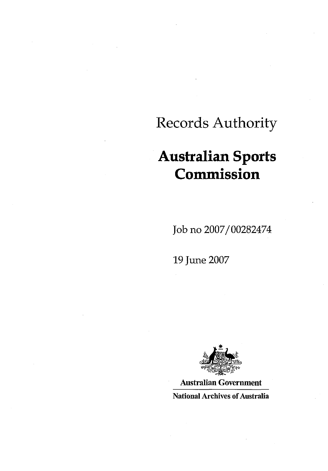## Records Authority

# **Australian Sports Commission**

Job no 2007/00282474

19 June 2007



Australian Government National Archives of Australia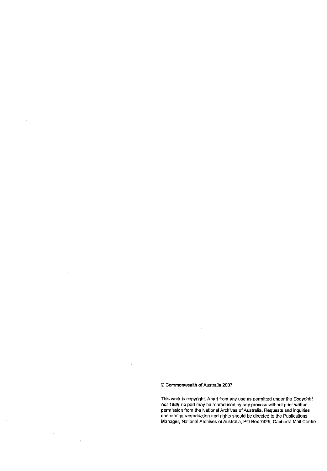$\bar{z}$ 

#### © Commonwealth of Australia 2007

This work is copyright. Apart from any use as permitted under the Copyright Act 1968 no part may be reproduced by any process without prior written permission from the National Archives of Australia. Requests and inquiries concerning reproduction and rights should be directed to the Publications Manager, National Archives of Australia, PO Box 7425, Canberra Mail Centre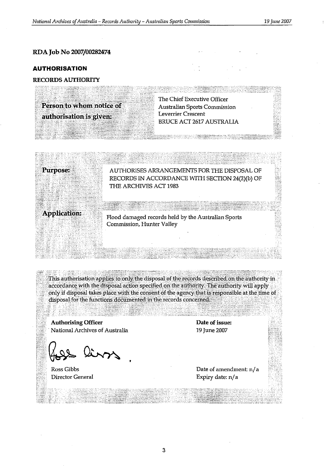### RDA Job No 2007/00282474

#### **AUTHORISATION**

### **RECORDS AUTHORITY**

Person to whom notice of authorisation is given:

The Chief Executive Officer **Australian Sports Commission Leverrier Crescent BRUCE ACT 2617 AUSTRALIA** 

and the company of the company of the company of the company of the company of the company of the company of t<br>The company of the company of the company of the company of the company of the company of the company of the c

AUTHORISES ARRANGEMENTS FOR THE DISPOSAL OF RECORDS IN ACCORDANCE WITH SECTION 24(2)(b) OF THE ARCHIVES ACT 1983

**Application:** 

Purpose:

Flood damaged records held by the Australian Sports Commission, Hunter Valley

This authorisation applies to only the disposal of the records described on the authority in accordance with the disposal action specified on the authority. The authority will apply only if disposal takes place with the consent of the agency that is responsible at the time of disposal for the functions documented in the records concerned.

**Authorising Officer** National Archives of Australia

Ross Gibbs Director General

Date of issue: 19 June 2007

Date of amendment: n/a Expiry date: n/a